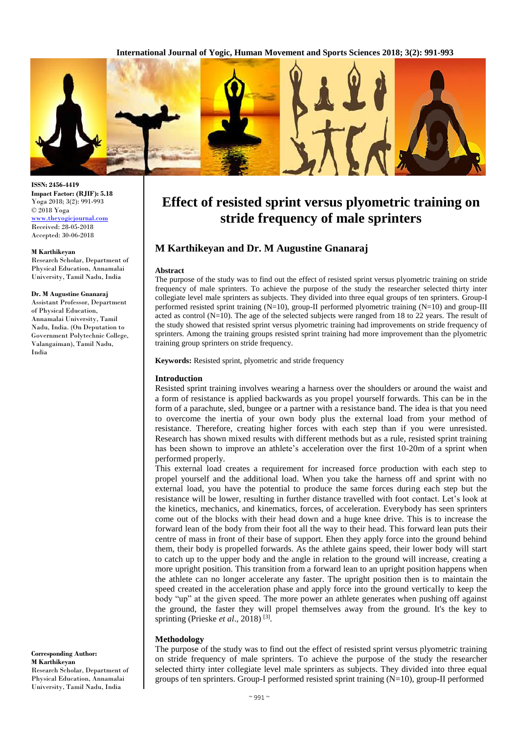**International Journal of Yogic, Human Movement and Sports Sciences 2018; 3(2): 991-993**



**ISSN: 2456-4419 Impact Factor: (RJIF): 5.18** Yoga 2018; 3(2): 991-993 © 2018 Yoga [www.theyogicjournal.com](http://www.theyogicjournal.com/) Received: 28-05-2018 Accepted: 30-06-2018

#### **M Karthikeyan**

Research Scholar, Department of Physical Education, Annamalai University, Tamil Nadu, India

#### **Dr. M Augustine Gnanaraj**

Assistant Professor, Department of Physical Education, Annamalai University, Tamil Nadu, India. (On Deputation to Government Polytechnic College, Valangaiman), Tamil Nadu, India

**Corresponding Author: M Karthikeyan** Research Scholar, Department of Physical Education, Annamalai University, Tamil Nadu, India

# **Effect of resisted sprint versus plyometric training on stride frequency of male sprinters**

# **M Karthikeyan and Dr. M Augustine Gnanaraj**

### **Abstract**

The purpose of the study was to find out the effect of resisted sprint versus plyometric training on stride frequency of male sprinters. To achieve the purpose of the study the researcher selected thirty inter collegiate level male sprinters as subjects. They divided into three equal groups of ten sprinters. Group-I performed resisted sprint training (N=10), group-II performed plyometric training (N=10) and group-III acted as control  $(N=10)$ . The age of the selected subjects were ranged from 18 to 22 years. The result of the study showed that resisted sprint versus plyometric training had improvements on stride frequency of sprinters. Among the training groups resisted sprint training had more improvement than the plyometric training group sprinters on stride frequency.

**Keywords:** Resisted sprint, plyometric and stride frequency

## **Introduction**

Resisted sprint training involves wearing a harness over the shoulders or around the waist and a form of resistance is applied backwards as you propel yourself forwards. This can be in the form of a parachute, sled, bungee or a partner with a resistance band. The idea is that you need to overcome the inertia of your own body plus the external load from your method of resistance. Therefore, creating higher forces with each step than if you were unresisted. Research has shown mixed results with different methods but as a rule, resisted sprint training has been shown to improve an athlete's acceleration over the first 10-20m of a sprint when performed properly.

This external load creates a requirement for increased force production with each step to propel yourself and the additional load. When you take the harness off and sprint with no external load, you have the potential to produce the same forces during each step but the resistance will be lower, resulting in further distance travelled with foot contact. Let's look at the kinetics, mechanics, and kinematics, forces, of acceleration. Everybody has seen sprinters come out of the blocks with their head down and a huge knee drive. This is to increase the forward lean of the body from their foot all the way to their head. This forward lean puts their centre of mass in front of their base of support. Ehen they apply force into the ground behind them, their body is propelled forwards. As the athlete gains speed, their lower body will start to catch up to the upper body and the angle in relation to the ground will increase, creating a more upright position. This transition from a forward lean to an upright position happens when the athlete can no longer accelerate any faster. The upright position then is to maintain the speed created in the acceleration phase and apply force into the ground vertically to keep the body "up" at the given speed. The more power an athlete generates when pushing off against the ground, the faster they will propel themselves away from the ground. It's the key to sprinting (Prieske *et al.*, 2018)<sup>[3]</sup>.

# **Methodology**

The purpose of the study was to find out the effect of resisted sprint versus plyometric training on stride frequency of male sprinters. To achieve the purpose of the study the researcher selected thirty inter collegiate level male sprinters as subjects. They divided into three equal groups of ten sprinters. Group-I performed resisted sprint training (N=10), group-II performed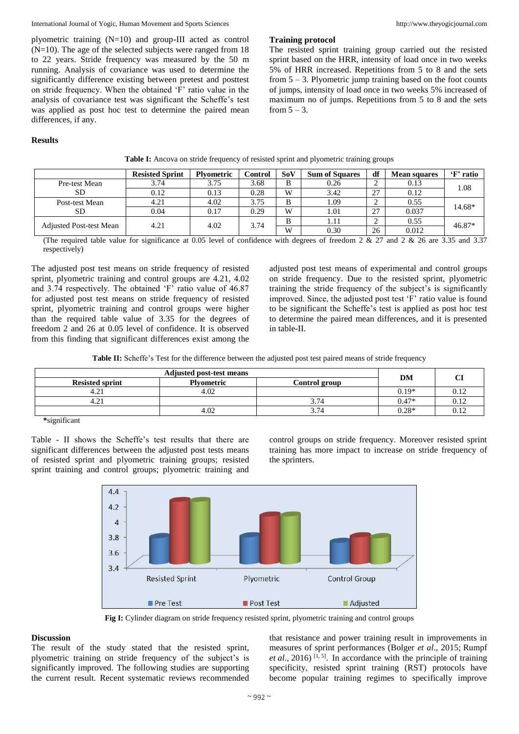### International Journal of Yogic, Human Movement and Sports Sciences http://www.theyogicjournal.com

plyometric training (N=10) and group-III acted as control (N=10). The age of the selected subjects were ranged from 18 to 22 years. Stride frequency was measured by the 50 m running. Analysis of covariance was used to determine the significantly difference existing between pretest and posttest on stride frequency. When the obtained 'F' ratio value in the analysis of covariance test was significant the Scheffe's test was applied as post hoc test to determine the paired mean differences, if any.

The resisted sprint training group carried out the resisted sprint based on the HRR, intensity of load once in two weeks 5% of HRR increased. Repetitions from 5 to 8 and the sets from 5 – 3. Plyometric jump training based on the foot counts of jumps, intensity of load once in two weeks 5% increased of maximum no of jumps. Repetitions from 5 to 8 and the sets from  $5 - 3$ .

# **Results**

|                                | <b>Resisted Sprint</b> | <b>Plyometric</b> | Control | SoV | <b>Sum of Squares</b> | df | <b>Mean squares</b> | 'F' ratio |
|--------------------------------|------------------------|-------------------|---------|-----|-----------------------|----|---------------------|-----------|
| Pre-test Mean                  | 3.74                   | 3.75              | 3.68    | B   | 0.26                  |    | 0.13                | 1.08      |
| <b>SD</b>                      | 0.12                   | 0.13              | 0.28    | W   | 3.42                  | 27 | 0.12                |           |
| Post-test Mean                 | 4.21                   | 4.02              | 3.75    | B   | 1.09                  |    | 0.55                | 14.68*    |
| <b>SD</b>                      | 0.04                   | 0.17              | 0.29    | W   | 1.01                  | 27 | 0.037               |           |
| <b>Adjusted Post-test Mean</b> | 4.21                   | 4.02              | 3.74    | B   | 1.11                  |    | 0.55                | 46.87*    |
|                                |                        |                   |         | W   | 0.30                  | 26 | 0.012               |           |

**Table I:** Ancova on stride frequency of resisted sprint and plyometric training groups

**Training protocol** 

(The required table value for significance at 0.05 level of confidence with degrees of freedom 2 & 27 and 2 & 26 are 3.35 and 3.37 respectively)

The adjusted post test means on stride frequency of resisted sprint, plyometric training and control groups are 4.21, 4.02 and 3.74 respectively. The obtained 'F' ratio value of 46.87 for adjusted post test means on stride frequency of resisted sprint, plyometric training and control groups were higher than the required table value of 3.35 for the degrees of freedom 2 and 26 at 0.05 level of confidence. It is observed from this finding that significant differences exist among the

adjusted post test means of experimental and control groups on stride frequency. Due to the resisted sprint, plyometric training the stride frequency of the subject's is significantly improved. Since, the adjusted post test 'F' ratio value is found to be significant the Scheffe's test is applied as post hoc test to determine the paired mean differences, and it is presented in table-II.

| Table II: Scheffe's Test for the difference between the adjusted post test paired means of stride frequency |  |  |  |  |  |
|-------------------------------------------------------------------------------------------------------------|--|--|--|--|--|
|-------------------------------------------------------------------------------------------------------------|--|--|--|--|--|

| <b>Adjusted post-test means</b> |                   |               |         | $\sim$ |
|---------------------------------|-------------------|---------------|---------|--------|
| <b>Resisted sprint</b>          | <b>Plyometric</b> | Control group | DM      |        |
| 4.21                            | 4.02              |               | $0.19*$ | V.IZ   |
| 4.21                            |                   | 374           | $0.47*$ | 0.12   |
|                                 | 4.02              | $\sim$ $\sim$ | $0.28*$ | ∪.⊥∠   |

**\***significant

Table - II shows the Scheffe's test results that there are significant differences between the adjusted post tests means of resisted sprint and plyometric training groups; resisted sprint training and control groups; plyometric training and

control groups on stride frequency. Moreover resisted sprint training has more impact to increase on stride frequency of the sprinters.



**Fig I:** Cylinder diagram on stride frequency resisted sprint, plyometric training and control groups

## **Discussion**

The result of the study stated that the resisted sprint, plyometric training on stride frequency of the subject's is significantly improved. The following studies are supporting the current result. Recent systematic reviews recommended that resistance and power training result in improvements in measures of sprint performances (Bolger *et al*., 2015; Rumpf *et al.*, 2016)<sup>[1, 5]</sup>. In accordance with the principle of training specificity, resisted sprint training (RST) protocols have become popular training regimes to specifically improve